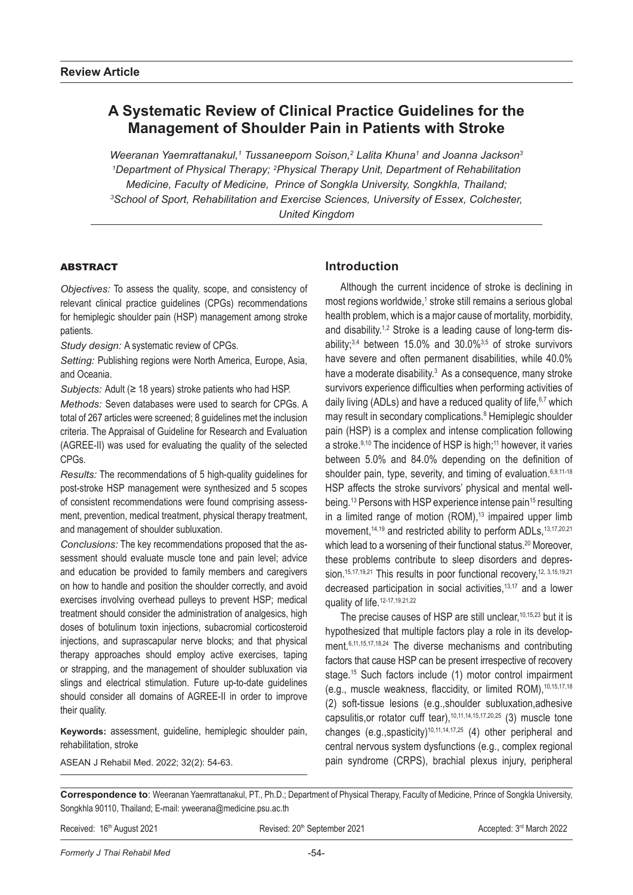# **A Systematic Review of Clinical Practice Guidelines for the Management of Shoulder Pain in Patients with Stroke**

*Weeranan Yaemrattanakul,1 Tussaneeporn Soison,2 Lalita Khuna1 and Joanna Jackson3 1Department of Physical Therapy; <sup>2</sup>Physical Therapy Unit, Department of Rehabilitation Medicine, Faculty of Medicine, Prince of Songkla University, Songkhla, Thailand; 3 School of Sport, Rehabilitation and Exercise Sciences, University of Essex, Colchester, United Kingdom*

### **ABSTRACT**

*Objectives:* To assess the quality, scope, and consistency of relevant clinical practice guidelines (CPGs) recommendations for hemiplegic shoulder pain (HSP) management among stroke patients.

*Study design:* A systematic review of CPGs.

*Setting:* Publishing regions were North America, Europe, Asia, and Oceania.

*Subjects:* Adult (≥ 18 years) stroke patients who had HSP.

*Methods:* Seven databases were used to search for CPGs. A total of 267 articles were screened; 8 guidelines met the inclusion criteria. The Appraisal of Guideline for Research and Evaluation (AGREE-II) was used for evaluating the quality of the selected CPGs.

*Results:* The recommendations of 5 high-quality guidelines for post-stroke HSP management were synthesized and 5 scopes of consistent recommendations were found comprising assessment, prevention, medical treatment, physical therapy treatment, and management of shoulder subluxation.

*Conclusions:* The key recommendations proposed that the assessment should evaluate muscle tone and pain level; advice and education be provided to family members and caregivers on how to handle and position the shoulder correctly, and avoid exercises involving overhead pulleys to prevent HSP; medical treatment should consider the administration of analgesics, high doses of botulinum toxin injections, subacromial corticosteroid injections, and suprascapular nerve blocks; and that physical therapy approaches should employ active exercises, taping or strapping, and the management of shoulder subluxation via slings and electrical stimulation. Future up-to-date guidelines should consider all domains of AGREE-II in order to improve their quality.

**Keywords:** assessment, guideline, hemiplegic shoulder pain, rehabilitation, stroke

ASEAN J Rehabil Med. 2022; 32(2): 54-63.

## **Introduction**

Although the current incidence of stroke is declining in most regions worldwide,<sup>1</sup> stroke still remains a serious global health problem, which is a major cause of mortality, morbidity, and disability.<sup>1,2</sup> Stroke is a leading cause of long-term disability; $3,4$  between 15.0% and 30.0% $3,5$  of stroke survivors have severe and often permanent disabilities, while 40.0% have a moderate disability.<sup>3</sup> As a consequence, many stroke survivors experience difficulties when performing activities of daily living (ADLs) and have a reduced quality of life, 6,7 which may result in secondary complications.<sup>8</sup> Hemiplegic shoulder pain (HSP) is a complex and intense complication following a stroke.9,10 The incidence of HSP is high;<sup>11</sup> however, it varies between 5.0% and 84.0% depending on the definition of shoulder pain, type, severity, and timing of evaluation. 6,9,11-18 HSP affects the stroke survivors' physical and mental wellbeing.<sup>13</sup> Persons with HSP experience intense pain<sup>15</sup> resulting in a limited range of motion  $(ROM)^{13}$  impaired upper limb movement,<sup>14,19</sup> and restricted ability to perform ADLs, <sup>13,17,20,21</sup> which lead to a worsening of their functional status.<sup>20</sup> Moreover, these problems contribute to sleep disorders and depression.<sup>15,17,19,21</sup> This results in poor functional recovery,<sup>12, 3,15,19,21</sup> decreased participation in social activities,13,17 and a lower quality of life.<sup>12-17,19,21,22</sup>

The precise causes of HSP are still unclear,  $10,15,23$  but it is hypothesized that multiple factors play a role in its development.<sup>6,11,15,17,18,24</sup> The diverse mechanisms and contributing factors that cause HSP can be present irrespective of recovery stage.<sup>15</sup> Such factors include (1) motor control impairment (e.g., muscle weakness, flaccidity, or limited ROM), 10,15,17,18 (2) soft-tissue lesions (e.g.,shoulder subluxation,adhesive capsulitis, or rotator cuff tear),  $10,11,14,15,17,20,25$  (3) muscle tone changes (e.g., spasticity)<sup>10,11,14,17,25</sup> (4) other peripheral and central nervous system dysfunctions (e.g., complex regional pain syndrome (CRPS), brachial plexus injury, peripheral

**Correspondence to**: Weeranan Yaemrattanakul, PT., Ph.D.; Department of Physical Therapy, Faculty of Medicine, Prince of Songkla University, Songkhla 90110, Thailand; E-mail: yweerana@medicine.psu.ac.th

Received: 16<sup>th</sup> August 2021 **Revised: 20th September 2021** Accepted: 3<sup>rd</sup> March 2022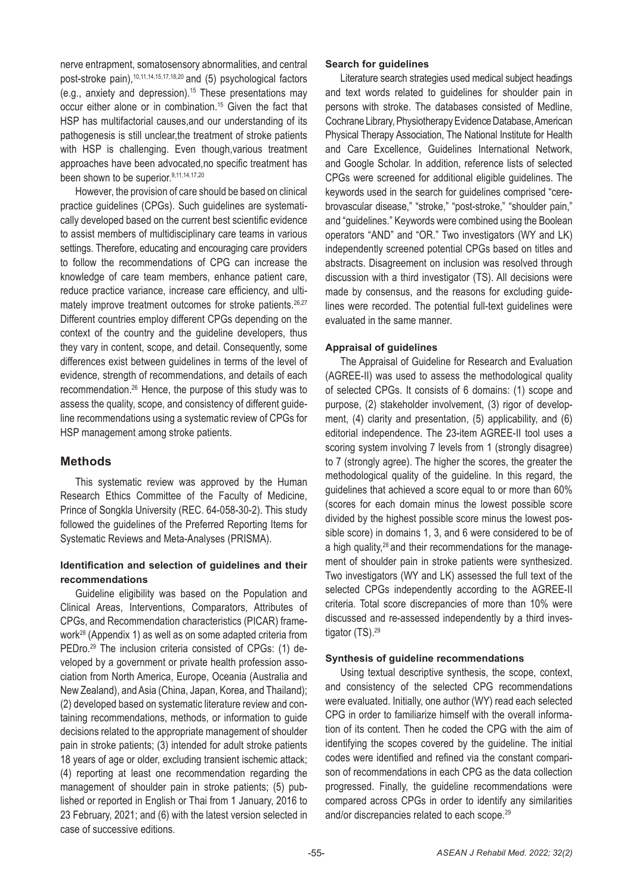nerve entrapment, somatosensory abnormalities, and central post-stroke pain),<sup>10,11,14,15,17,18,20</sup> and (5) psychological factors (e.g., anxiety and depression).<sup>15</sup> These presentations may occur either alone or in combination.<sup>15</sup> Given the fact that HSP has multifactorial causes,and our understanding of its pathogenesis is still unclear,the treatment of stroke patients with HSP is challenging. Even though, various treatment approaches have been advocated,no specific treatment has been shown to be superior.<sup>9,11,14,17,20</sup>

However, the provision of care should be based on clinical practice guidelines (CPGs). Such guidelines are systematically developed based on the current best scientific evidence to assist members of multidisciplinary care teams in various settings. Therefore, educating and encouraging care providers to follow the recommendations of CPG can increase the knowledge of care team members, enhance patient care, reduce practice variance, increase care efficiency, and ultimately improve treatment outcomes for stroke patients.<sup>26,27</sup> Different countries employ different CPGs depending on the context of the country and the guideline developers, thus they vary in content, scope, and detail. Consequently, some differences exist between guidelines in terms of the level of evidence, strength of recommendations, and details of each recommendation.26 Hence, the purpose of this study was to assess the quality, scope, and consistency of different guideline recommendations using a systematic review of CPGs for HSP management among stroke patients.

## **Methods**

This systematic review was approved by the Human Research Ethics Committee of the Faculty of Medicine, Prince of Songkla University (REC. 64-058-30-2). This study followed the guidelines of the Preferred Reporting Items for Systematic Reviews and Meta-Analyses (PRISMA).

### **Identification and selection of guidelines and their recommendations**

Guideline eligibility was based on the Population and Clinical Areas, Interventions, Comparators, Attributes of CPGs, and Recommendation characteristics (PICAR) framework28 (Appendix 1) as well as on some adapted criteria from PEDro.<sup>29</sup> The inclusion criteria consisted of CPGs: (1) developed by a government or private health profession association from North America, Europe, Oceania (Australia and New Zealand), and Asia (China, Japan, Korea, and Thailand); (2) developed based on systematic literature review and containing recommendations, methods, or information to guide decisions related to the appropriate management of shoulder pain in stroke patients; (3) intended for adult stroke patients 18 years of age or older, excluding transient ischemic attack; (4) reporting at least one recommendation regarding the management of shoulder pain in stroke patients; (5) published or reported in English or Thai from 1 January, 2016 to 23 February, 2021; and (6) with the latest version selected in case of successive editions.

### **Search for guidelines**

Literature search strategies used medical subject headings and text words related to guidelines for shoulder pain in persons with stroke. The databases consisted of Medline, Cochrane Library, Physiotherapy Evidence Database, American Physical Therapy Association, The National Institute for Health and Care Excellence, Guidelines International Network, and Google Scholar. In addition, reference lists of selected CPGs were screened for additional eligible guidelines. The keywords used in the search for guidelines comprised "cerebrovascular disease," "stroke," "post-stroke," "shoulder pain," and "guidelines." Keywords were combined using the Boolean operators "AND" and "OR." Two investigators (WY and LK) independently screened potential CPGs based on titles and abstracts. Disagreement on inclusion was resolved through discussion with a third investigator (TS). All decisions were made by consensus, and the reasons for excluding guidelines were recorded. The potential full-text guidelines were evaluated in the same manner.

### **Appraisal of guidelines**

The Appraisal of Guideline for Research and Evaluation (AGREE-II) was used to assess the methodological quality of selected CPGs. It consists of 6 domains: (1) scope and purpose, (2) stakeholder involvement, (3) rigor of development, (4) clarity and presentation, (5) applicability, and (6) editorial independence. The 23-item AGREE-II tool uses a scoring system involving 7 levels from 1 (strongly disagree) to 7 (strongly agree). The higher the scores, the greater the methodological quality of the guideline. In this regard, the guidelines that achieved a score equal to or more than 60% (scores for each domain minus the lowest possible score divided by the highest possible score minus the lowest possible score) in domains 1, 3, and 6 were considered to be of a high quality,<sup>28</sup> and their recommendations for the management of shoulder pain in stroke patients were synthesized. Two investigators (WY and LK) assessed the full text of the selected CPGs independently according to the AGREE-II criteria. Total score discrepancies of more than 10% were discussed and re-assessed independently by a third investigator (TS).<sup>29</sup>

### **Synthesis of guideline recommendations**

Using textual descriptive synthesis, the scope, context, and consistency of the selected CPG recommendations were evaluated. Initially, one author (WY) read each selected CPG in order to familiarize himself with the overall information of its content. Then he coded the CPG with the aim of identifying the scopes covered by the guideline. The initial codes were identified and refined via the constant comparison of recommendations in each CPG as the data collection progressed. Finally, the guideline recommendations were compared across CPGs in order to identify any similarities and/or discrepancies related to each scope.<sup>29</sup>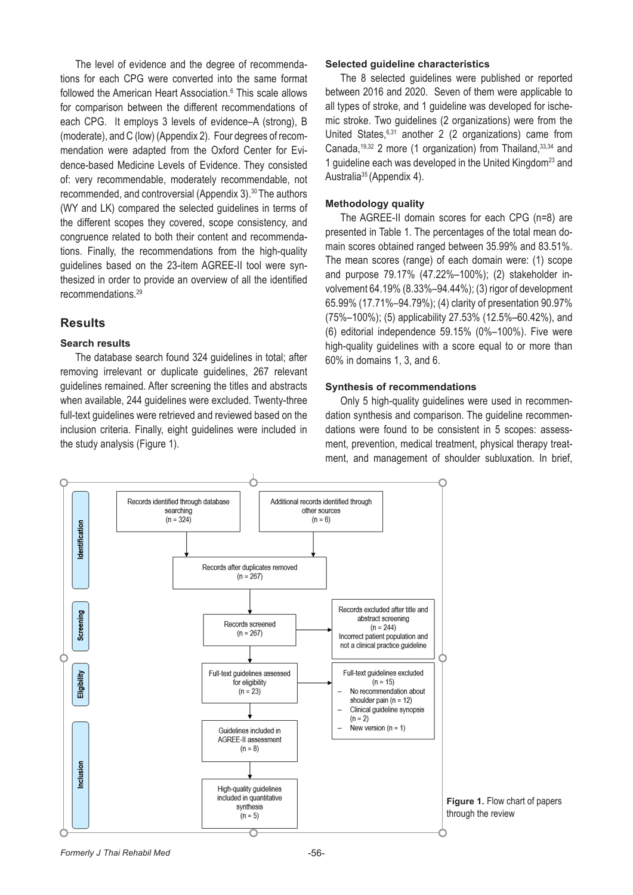The level of evidence and the degree of recommendations for each CPG were converted into the same format followed the American Heart Association.<sup>6</sup> This scale allows for comparison between the different recommendations of each CPG. It employs 3 levels of evidence–A (strong), B (moderate), and C (low) (Appendix 2). Four degrees of recommendation were adapted from the Oxford Center for Evidence-based Medicine Levels of Evidence. They consisted of: very recommendable, moderately recommendable, not recommended, and controversial (Appendix 3).30 The authors (WY and LK) compared the selected guidelines in terms of the different scopes they covered, scope consistency, and congruence related to both their content and recommendations. Finally, the recommendations from the high-quality guidelines based on the 23-item AGREE-II tool were synthesized in order to provide an overview of all the identified recommendations.29

### **Results**

#### **Search results**

The database search found 324 guidelines in total; after removing irrelevant or duplicate guidelines, 267 relevant guidelines remained. After screening the titles and abstracts when available, 244 guidelines were excluded. Twenty-three full-text guidelines were retrieved and reviewed based on the inclusion criteria. Finally, eight guidelines were included in the study analysis (Figure 1).

#### **Selected guideline characteristics**

The 8 selected guidelines were published or reported between 2016 and 2020. Seven of them were applicable to all types of stroke, and 1 guideline was developed for ischemic stroke. Two guidelines (2 organizations) were from the United States,6,31 another 2 (2 organizations) came from Canada,<sup>19,32</sup> 2 more (1 organization) from Thailand,  $33,34$  and 1 guideline each was developed in the United Kingdom23 and Australia<sup>35</sup> (Appendix 4).

#### **Methodology quality**

The AGREE-II domain scores for each CPG (n=8) are presented in Table 1. The percentages of the total mean domain scores obtained ranged between 35.99% and 83.51%. The mean scores (range) of each domain were: (1) scope and purpose 79.17% (47.22%–100%); (2) stakeholder involvement 64.19% (8.33%–94.44%); (3) rigor of development 65.99% (17.71%–94.79%); (4) clarity of presentation 90.97% (75%–100%); (5) applicability 27.53% (12.5%–60.42%), and (6) editorial independence 59.15% (0%–100%). Five were high-quality guidelines with a score equal to or more than 60% in domains 1, 3, and 6.

#### **Synthesis of recommendations**

Only 5 high-quality guidelines were used in recommendation synthesis and comparison. The guideline recommendations were found to be consistent in 5 scopes: assessment, prevention, medical treatment, physical therapy treatment, and management of shoulder subluxation. In brief,

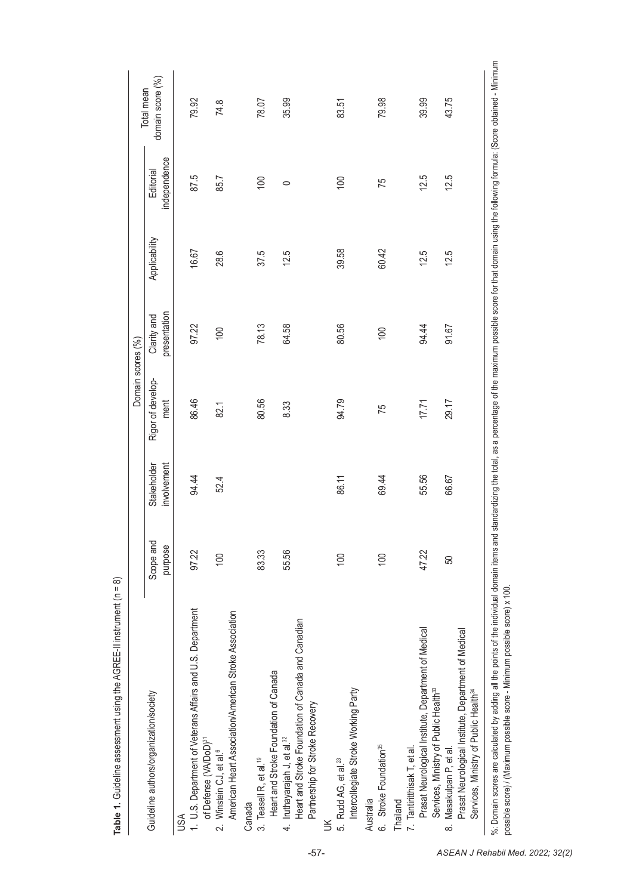|                                                                                                                                                                            |                      |                            | Domain scores (%)         |                             |               |                           |                                                                                                                                               |
|----------------------------------------------------------------------------------------------------------------------------------------------------------------------------|----------------------|----------------------------|---------------------------|-----------------------------|---------------|---------------------------|-----------------------------------------------------------------------------------------------------------------------------------------------|
| Guideline authors/organization/society                                                                                                                                     | Scope and<br>purpose | involvement<br>Stakeholder | Rigor of develop-<br>ment | presentation<br>Clarity and | Applicability | independence<br>Editorial | domain score (%)<br>Total mean                                                                                                                |
| 1 U.S. Department of Veterans Affairs and U.S. Department<br>USA                                                                                                           | 97.22                | 94.44                      | 86.46                     | 97.22                       | 16.67         | 87.5                      | 79.92                                                                                                                                         |
| American Heart Association/American Stroke Association<br>of Defense (VA/DoD) <sup>31</sup><br>2. Winstein CJ, et al. <sup>6</sup>                                         | 100                  | 52.4                       | 82.1                      | 100                         | 28.6          | 85.7                      | 74.8                                                                                                                                          |
| 3. Teasell R, et al. <sup>19</sup><br>Canada                                                                                                                               | 83.33                |                            | 80.56                     | 78.13                       | 37.5          | 100                       | 78.07                                                                                                                                         |
| Heart and Stroke Foundation of Canada and Canadian<br>Heart and Stroke Foundation of Canada<br>Partnership for Stroke Recovery<br>4. Iruthayarajah J, et al. <sup>32</sup> | 55.56                |                            | 8.33                      | 64.58                       | 12.5          | $\circ$                   | 35.99                                                                                                                                         |
| Intercollegiate Stroke Working Party<br>5. Rudd AG, et al. <sup>23</sup><br>š                                                                                              | 100                  | 86.11                      | 94.79                     | 80.56                       | 39.58         | 100                       | 83.51                                                                                                                                         |
| 6. Stroke Foundation <sup>35</sup><br>Australia                                                                                                                            | 100                  | 69.44                      | 75                        | 100                         | 60.42         | 75                        | 79.98                                                                                                                                         |
| Prasat Neurological Institute, Department of Medical<br>Services, Ministry of Public Health <sup>33</sup><br>7. Tantiritthisak T, et al.<br>Thailand                       | 47.22                | 55.56                      | 17.71                     | 94.44                       | 12.5          | 12.5                      | 39.99                                                                                                                                         |
| Prasat Neurological Institute, Department of Medical<br>Services, Ministry of Public Health <sup>34</sup><br>8. Masakulpan P, et al.                                       | 50                   | 66.67                      | 29.17                     | 91.67                       | 12.5          | 12.5                      | 43.75                                                                                                                                         |
| %: Domain scores are calculated by adding all the points of the individual domain items and<br>possible score) / (Maximum possible score - Minimum possible score) x 100.  |                      |                            |                           |                             |               |                           | standardizing the total, as a percentage of the maximum possible score for that domain using the following formula: (Score obtained - Minimum |

Table 1. Guideline assessment using the AGREE-II instrument (n = 8) **Table 1.** Guideline assessment using the AGREE-II instrument (n = 8)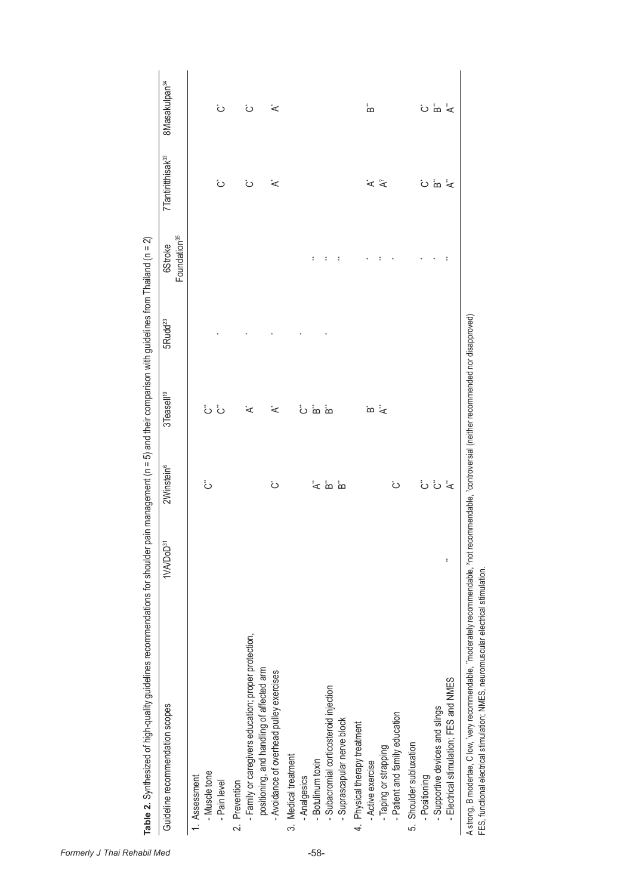| Guideline recommendation scopes                      | 1VA/DoD <sup>31</sup> | 2Winstein <sup>6</sup> | 3Teasell <sup>19</sup>     | 5Rudd <sup>23</sup> | Foundation <sup>35</sup><br>6Stroke | 7Tantiritthisak <sup>33</sup> | 8Masakulpan <sup>34</sup> |
|------------------------------------------------------|-----------------------|------------------------|----------------------------|---------------------|-------------------------------------|-------------------------------|---------------------------|
| 1. Assessment                                        |                       |                        |                            |                     |                                     |                               |                           |
| - Muscle tone                                        |                       | ڽؙ                     |                            |                     |                                     |                               |                           |
| - Pain level                                         |                       |                        | نْ نُ                      |                     |                                     | نً                            | نً                        |
| 2. Prevention                                        |                       |                        |                            |                     |                                     |                               |                           |
| - Family or caregivers education; proper protection, |                       |                        | ້<                         |                     |                                     | نً                            | نً                        |
| positioning, and handling of affected arm            |                       |                        |                            |                     |                                     |                               |                           |
| - Avoidance of overhead pulley exercises             |                       | نً                     | ້<                         |                     |                                     | ້<                            | ້<                        |
| 3. Medical treatment                                 |                       |                        |                            |                     |                                     |                               |                           |
| - Analgesics                                         |                       |                        |                            |                     |                                     |                               |                           |
| - Botulinum toxin                                    |                       |                        | ် စံ                       |                     | $\ddagger$                          |                               |                           |
| Subacromial corticosteroid injection                 |                       | יٌ<br>⊿ `α `α          | $\stackrel{*}{\mathbf{D}}$ |                     | $\frac{\pi}{4}$                     |                               |                           |
| - Suprascapular nerve block                          |                       |                        |                            |                     | $\frac{\pi}{4}$                     |                               |                           |
| 4 Physical therapy treatment                         |                       |                        |                            |                     |                                     |                               |                           |
| - Active exercise                                    |                       |                        | ته *ح                      |                     |                                     |                               | ്ഥ                        |
| - Taping or strapping                                |                       |                        |                            |                     |                                     | $\tilde{\mathbf{y}}$          |                           |
| - Patient and family education                       |                       | نً                     |                            |                     |                                     |                               |                           |
| 5. Shoulder subluxation                              |                       |                        |                            |                     |                                     |                               |                           |
| - Positioning                                        |                       |                        |                            |                     |                                     |                               |                           |
| Supportive devices and slings                        |                       | ئٰ ئٰ ≵                |                            |                     |                                     | ٽ ئه ځ                        | ٽ "ه *                    |
| Electrical stimulation; FES and NMES                 | ŧ                     |                        |                            |                     | $\ddot{\ddot{\ast}}$                |                               |                           |

A strong, B modertae, C low, 'very recommendable, "moderately recommendable, <sup>x</sup>not recommendable, ?controversial (neither recommended nor disapproved)<br>FES, functional electrical stimulation; NMES, neuromuscular electrical A strong, B modertae, C low, \*very recommendable, \*\*moderately recommendable, Xnot recommendable, ?controversial (neither recommended nor disapproved) FES, functional electrical stimulation; NMES, neuromuscular electrical stimulation.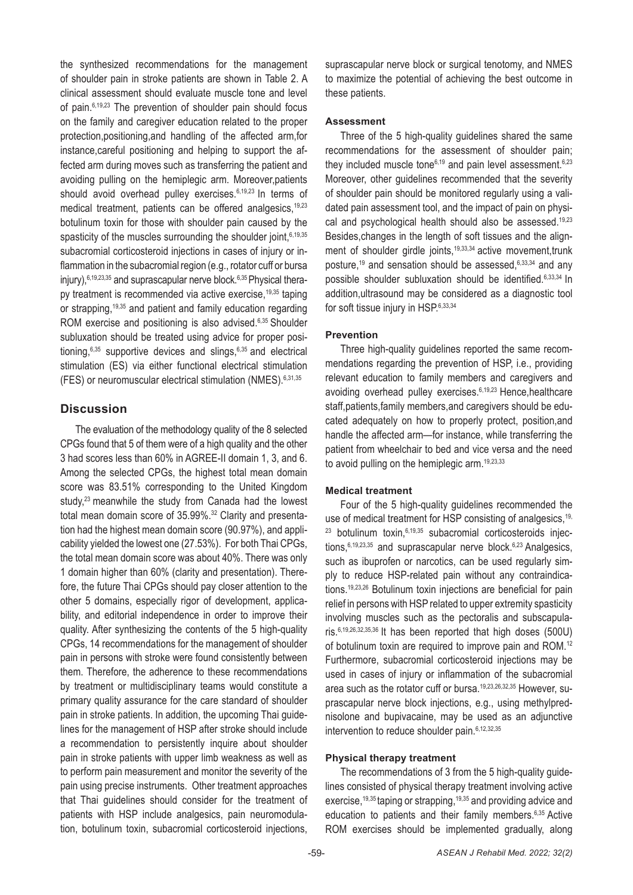the synthesized recommendations for the management of shoulder pain in stroke patients are shown in Table 2. A clinical assessment should evaluate muscle tone and level of pain.<sup>6,19,23</sup> The prevention of shoulder pain should focus on the family and caregiver education related to the proper protection,positioning,and handling of the affected arm,for instance,careful positioning and helping to support the affected arm during moves such as transferring the patient and avoiding pulling on the hemiplegic arm. Moreover,patients should avoid overhead pulley exercises.<sup>6,19,23</sup> In terms of medical treatment, patients can be offered analgesics, 19,23 botulinum toxin for those with shoulder pain caused by the spasticity of the muscles surrounding the shoulder joint,  $6,19,35$ subacromial corticosteroid injections in cases of injury or inflammation in the subacromial region (e.g., rotator cuff or bursa injury),  $6,19,23,35$  and suprascapular nerve block.  $6,35$  Physical therapy treatment is recommended via active exercise,<sup>19,35</sup> taping or strapping,<sup>19,35</sup> and patient and family education regarding ROM exercise and positioning is also advised.<sup>6,35</sup> Shoulder subluxation should be treated using advice for proper positioning, $6,35$  supportive devices and slings,  $6,35$  and electrical stimulation (ES) via either functional electrical stimulation (FES) or neuromuscular electrical stimulation (NMES).6,31,35

## **Discussion**

The evaluation of the methodology quality of the 8 selected CPGs found that 5 of them were of a high quality and the other 3 had scores less than 60% in AGREE-II domain 1, 3, and 6. Among the selected CPGs, the highest total mean domain score was 83.51% corresponding to the United Kingdom study,<sup>23</sup> meanwhile the study from Canada had the lowest total mean domain score of 35.99%.<sup>32</sup> Clarity and presentation had the highest mean domain score (90.97%), and applicability yielded the lowest one (27.53%). For both Thai CPGs, the total mean domain score was about 40%. There was only 1 domain higher than 60% (clarity and presentation). Therefore, the future Thai CPGs should pay closer attention to the other 5 domains, especially rigor of development, applicability, and editorial independence in order to improve their quality. After synthesizing the contents of the 5 high-quality CPGs, 14 recommendations for the management of shoulder pain in persons with stroke were found consistently between them. Therefore, the adherence to these recommendations by treatment or multidisciplinary teams would constitute a primary quality assurance for the care standard of shoulder pain in stroke patients. In addition, the upcoming Thai guidelines for the management of HSP after stroke should include a recommendation to persistently inquire about shoulder pain in stroke patients with upper limb weakness as well as to perform pain measurement and monitor the severity of the pain using precise instruments. Other treatment approaches that Thai guidelines should consider for the treatment of patients with HSP include analgesics, pain neuromodulation, botulinum toxin, subacromial corticosteroid injections,

suprascapular nerve block or surgical tenotomy, and NMES to maximize the potential of achieving the best outcome in these patients.

#### **Assessment**

Three of the 5 high-quality guidelines shared the same recommendations for the assessment of shoulder pain; they included muscle tone $6,19$  and pain level assessment.  $6,23$ Moreover, other guidelines recommended that the severity of shoulder pain should be monitored regularly using a validated pain assessment tool, and the impact of pain on physical and psychological health should also be assessed.19,23 Besides,changes in the length of soft tissues and the alignment of shoulder girdle joints,<sup>19,33,34</sup> active movement, trunk posture,<sup>19</sup> and sensation should be assessed,6,33,34 and any possible shoulder subluxation should be identified.6,33,34 In addition,ultrasound may be considered as a diagnostic tool for soft tissue injury in HSP.<sup>6,33,34</sup>

### **Prevention**

Three high-quality guidelines reported the same recommendations regarding the prevention of HSP, i.e., providing relevant education to family members and caregivers and avoiding overhead pulley exercises.6,19,23 Hence,healthcare staff,patients,family members,and caregivers should be educated adequately on how to properly protect, position,and handle the affected arm—for instance, while transferring the patient from wheelchair to bed and vice versa and the need to avoid pulling on the hemiplegic arm.<sup>19,23,33</sup>

### **Medical treatment**

Four of the 5 high-quality guidelines recommended the use of medical treatment for HSP consisting of analgesics.<sup>19,</sup> <sup>23</sup> botulinum toxin, 6,19,35 subacromial corticosteroids injections,<sup>6,19,23,35</sup> and suprascapular nerve block.<sup>6,23</sup> Analgesics, such as ibuprofen or narcotics, can be used regularly simply to reduce HSP-related pain without any contraindications.19,23,26 Botulinum toxin injections are beneficial for pain relief in persons with HSP related to upper extremity spasticity involving muscles such as the pectoralis and subscapularis.6,19,26,32,35,36 It has been reported that high doses (500U) of botulinum toxin are required to improve pain and ROM.<sup>12</sup> Furthermore, subacromial corticosteroid injections may be used in cases of injury or inflammation of the subacromial area such as the rotator cuff or bursa.19,23,26,32,35 However, suprascapular nerve block injections, e.g., using methylprednisolone and bupivacaine, may be used as an adjunctive intervention to reduce shoulder pain. 6,12,32,35

### **Physical therapy treatment**

The recommendations of 3 from the 5 high-quality guidelines consisted of physical therapy treatment involving active exercise,19,35 taping or strapping,19,35 and providing advice and education to patients and their family members.6,35 Active ROM exercises should be implemented gradually, along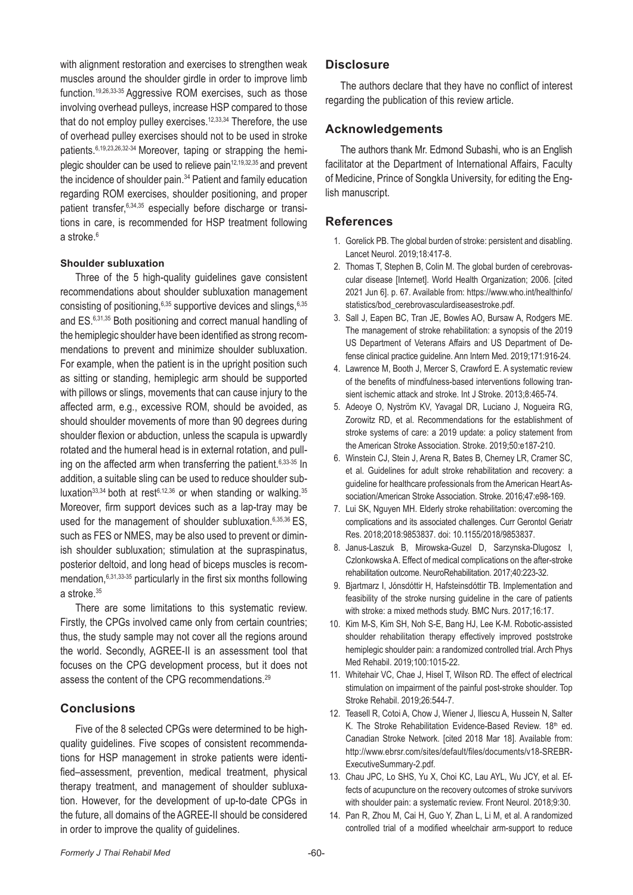with alignment restoration and exercises to strengthen weak muscles around the shoulder girdle in order to improve limb function.19,26,33-35 Aggressive ROM exercises, such as those involving overhead pulleys, increase HSP compared to those that do not employ pulley exercises.<sup>12,33,34</sup> Therefore, the use of overhead pulley exercises should not to be used in stroke patients.6,19,23,26,32-34 Moreover, taping or strapping the hemiplegic shoulder can be used to relieve pain<sup>12,19,32,35</sup> and prevent the incidence of shoulder pain.<sup>34</sup> Patient and family education regarding ROM exercises, shoulder positioning, and proper patient transfer,6,34,35 especially before discharge or transitions in care, is recommended for HSP treatment following a stroke  $6$ 

#### **Shoulder subluxation**

Three of the 5 high-quality quidelines gave consistent recommendations about shoulder subluxation management consisting of positioning, $6,35$  supportive devices and slings,  $6,35$ and ES.6,31,35 Both positioning and correct manual handling of the hemiplegic shoulder have been identified as strong recommendations to prevent and minimize shoulder subluxation. For example, when the patient is in the upright position such as sitting or standing, hemiplegic arm should be supported with pillows or slings, movements that can cause injury to the affected arm, e.g., excessive ROM, should be avoided, as should shoulder movements of more than 90 degrees during shoulder flexion or abduction, unless the scapula is upwardly rotated and the humeral head is in external rotation, and pulling on the affected arm when transferring the patient. $6,33-35$  In addition, a suitable sling can be used to reduce shoulder subluxation<sup>33,34</sup> both at rest<sup>6,12,36</sup> or when standing or walking.<sup>35</sup> Moreover, firm support devices such as a lap-tray may be used for the management of shoulder subluxation. $6,35,36$  ES. such as FES or NMES, may be also used to prevent or diminish shoulder subluxation; stimulation at the supraspinatus, posterior deltoid, and long head of biceps muscles is recommendation,6,31,33-35 particularly in the first six months following a stroke.<sup>35</sup>

There are some limitations to this systematic review. Firstly, the CPGs involved came only from certain countries; thus, the study sample may not cover all the regions around the world. Secondly, AGREE-II is an assessment tool that focuses on the CPG development process, but it does not assess the content of the CPG recommendations.29

### **Conclusions**

Five of the 8 selected CPGs were determined to be highquality guidelines. Five scopes of consistent recommendations for HSP management in stroke patients were identified–assessment, prevention, medical treatment, physical therapy treatment, and management of shoulder subluxation. However, for the development of up-to-date CPGs in the future, all domains of the AGREE-II should be considered in order to improve the quality of guidelines.

### **Disclosure**

The authors declare that they have no conflict of interest regarding the publication of this review article.

### **Acknowledgements**

The authors thank Mr. Edmond Subashi, who is an English facilitator at the Department of International Affairs, Faculty of Medicine, Prince of Songkla University, for editing the English manuscript.

### **References**

- 1. Gorelick PB. The global burden of stroke: persistent and disabling. Lancet Neurol. 2019;18:417-8.
- 2. Thomas T, Stephen B, Colin M. The global burden of cerebrovascular disease [Internet]. World Health Organization; 2006. [cited 2021 Jun 6]. p. 67. Available from: https://www.who.int/healthinfo/ statistics/bod\_cerebrovasculardiseasestroke.pdf.
- 3. Sall J, Eapen BC, Tran JE, Bowles AO, Bursaw A, Rodgers ME. The management of stroke rehabilitation: a synopsis of the 2019 US Department of Veterans Affairs and US Department of Defense clinical practice guideline. Ann Intern Med. 2019;171:916-24.
- 4. Lawrence M, Booth J, Mercer S, Crawford E. A systematic review of the benefits of mindfulness-based interventions following transient ischemic attack and stroke. Int J Stroke. 2013;8:465-74.
- 5. Adeoye O, Nyström KV, Yavagal DR, Luciano J, Nogueira RG, Zorowitz RD, et al. Recommendations for the establishment of stroke systems of care: a 2019 update: a policy statement from the American Stroke Association. Stroke. 2019;50:e187-210.
- 6. Winstein CJ, Stein J, Arena R, Bates B, Cherney LR, Cramer SC, et al. Guidelines for adult stroke rehabilitation and recovery: a guideline for healthcare professionals from the American Heart Association/American Stroke Association. Stroke. 2016;47:e98-169.
- 7. Lui SK, Nguyen MH. Elderly stroke rehabilitation: overcoming the complications and its associated challenges. Curr Gerontol Geriatr Res. 2018;2018:9853837. doi: 10.1155/2018/9853837.
- 8. Janus-Laszuk B, Mirowska-Guzel D, Sarzynska-Dlugosz I, Czlonkowska A. Effect of medical complications on the after-stroke rehabilitation outcome. NeuroRehabilitation. 2017;40:223-32.
- 9. Bjartmarz I, Jónsdóttir H, Hafsteinsdóttir TB. Implementation and feasibility of the stroke nursing guideline in the care of patients with stroke: a mixed methods study. BMC Nurs. 2017;16:17.
- 10. Kim M-S, Kim SH, Noh S-E, Bang HJ, Lee K-M. Robotic-assisted shoulder rehabilitation therapy effectively improved poststroke hemiplegic shoulder pain: a randomized controlled trial. Arch Phys Med Rehabil. 2019;100:1015-22.
- 11. Whitehair VC, Chae J, Hisel T, Wilson RD. The effect of electrical stimulation on impairment of the painful post-stroke shoulder. Top Stroke Rehabil. 2019;26:544-7.
- 12. Teasell R, Cotoi A, Chow J, Wiener J, Iliescu A, Hussein N, Salter K. The Stroke Rehabilitation Evidence-Based Review. 18th ed. Canadian Stroke Network. [cited 2018 Mar 18]. Available from: http://www.ebrsr.com/sites/default/files/documents/v18-SREBR-ExecutiveSummary-2.pdf.
- 13. Chau JPC, Lo SHS, Yu X, Choi KC, Lau AYL, Wu JCY, et al. Effects of acupuncture on the recovery outcomes of stroke survivors with shoulder pain: a systematic review. Front Neurol. 2018;9:30.
- 14. Pan R, Zhou M, Cai H, Guo Y, Zhan L, Li M, et al. A randomized controlled trial of a modified wheelchair arm-support to reduce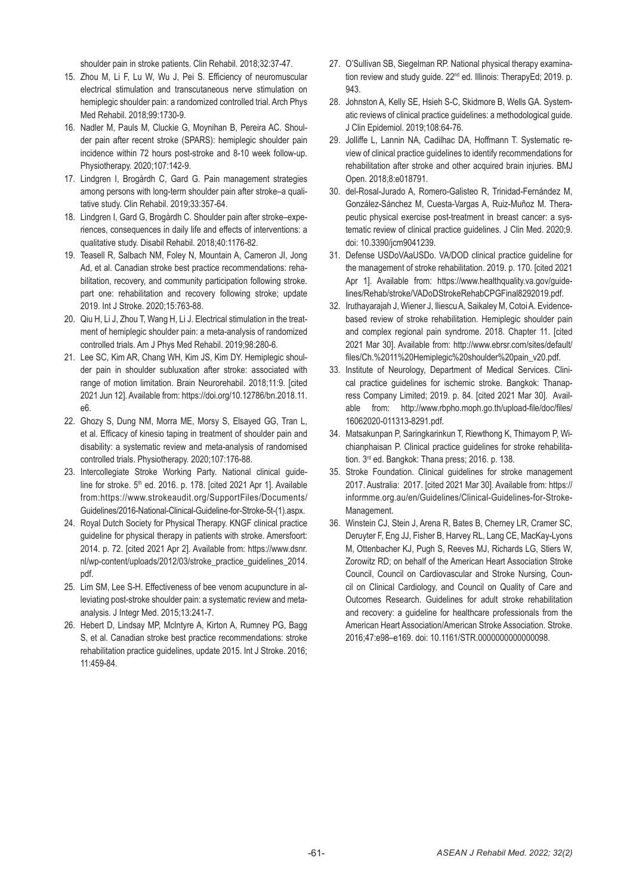shoulder pain in stroke patients. Clin Rehabil. 2018;32:37-47.

- 15. Zhou M, Li F, Lu W, Wu J, Pei S. Efficiency of neuromuscular electrical stimulation and transcutaneous nerve stimulation on hemiplegic shoulder pain: a randomized controlled trial. Arch Phys Med Rehabil. 2018;99:1730-9.
- 16. Nadler M, Pauls M, Cluckie G, Moynihan B, Pereira AC. Shoulder pain after recent stroke (SPARS): hemiplegic shoulder pain incidence within 72 hours post-stroke and 8-10 week follow-up. Physiotherapy. 2020;107:142-9.
- 17. Lindgren I, Brogårdh C, Gard G. Pain management strategies among persons with long-term shoulder pain after stroke–a qualitative study. Clin Rehabil. 2019;33:357-64.
- 18. Lindgren I, Gard G, Brogårdh C. Shoulder pain after stroke–experiences, consequences in daily life and effects of interventions: a qualitative study. Disabil Rehabil. 2018;40:1176-82.
- 19. Teasell R, Salbach NM, Foley N, Mountain A, Cameron JI, Jong Ad, et al. Canadian stroke best practice recommendations: rehabilitation, recovery, and community participation following stroke. part one: rehabilitation and recovery following stroke; update 2019. Int J Stroke. 2020;15:763-88.
- 20. Qiu H, Li J, Zhou T, Wang H, Li J. Electrical stimulation in the treatment of hemiplegic shoulder pain: a meta-analysis of randomized controlled trials. Am J Phys Med Rehabil. 2019;98:280-6.
- 21. Lee SC, Kim AR, Chang WH, Kim JS, Kim DY. Hemiplegic shoulder pain in shoulder subluxation after stroke: associated with range of motion limitation. Brain Neurorehabil. 2018;11:9. [cited 2021 Jun 12]. Available from: https://doi.org/10.12786/bn.2018.11. e6.
- 22. Ghozy S, Dung NM, Morra ME, Morsy S, Elsayed GG, Tran L, et al. Efficacy of kinesio taping in treatment of shoulder pain and disability: a systematic review and meta-analysis of randomised controlled trials. Physiotherapy. 2020;107:176-88.
- 23. Intercollegiate Stroke Working Party. National clinical guideline for stroke. 5<sup>th</sup> ed. 2016. p. 178. [cited 2021 Apr 1]. Available from:https://www.strokeaudit.org/SupportFiles/Documents/ Guidelines/2016-National-Clinical-Guideline-for-Stroke-5t-(1).aspx.
- 24. Royal Dutch Society for Physical Therapy. KNGF clinical practice guideline for physical therapy in patients with stroke. Amersfoort: 2014. p. 72. [cited 2021 Apr 2]. Available from: https://www.dsnr. nl/wp-content/uploads/2012/03/stroke\_practice\_guidelines\_2014. pdf.
- 25. Lim SM, Lee S-H. Effectiveness of bee venom acupuncture in alleviating post-stroke shoulder pain: a systematic review and metaanalysis. J Integr Med. 2015;13:241-7.
- 26. Hebert D, Lindsay MP, McIntyre A, Kirton A, Rumney PG, Bagg S, et al. Canadian stroke best practice recommendations: stroke rehabilitation practice guidelines, update 2015. Int J Stroke. 2016; 11:459-84.
- 27. O'Sullivan SB, Siegelman RP. National physical therapy examination review and study guide. 22<sup>nd</sup> ed. Illinois: TherapyEd; 2019. p. 943.
- 28. Johnston A, Kelly SE, Hsieh S-C, Skidmore B, Wells GA. Systematic reviews of clinical practice guidelines: a methodological guide. J Clin Epidemiol. 2019;108:64-76.
- 29. Jolliffe L, Lannin NA, Cadilhac DA, Hoffmann T. Systematic review of clinical practice guidelines to identify recommendations for rehabilitation after stroke and other acquired brain injuries. BMJ Open. 2018;8:e018791.
- 30. del-Rosal-Jurado A, Romero-Galisteo R, Trinidad-Fernández M, González-Sánchez M, Cuesta-Vargas A, Ruiz-Muñoz M. Therapeutic physical exercise post-treatment in breast cancer: a systematic review of clinical practice guidelines. J Clin Med. 2020;9. doi: 10.3390/jcm9041239.
- 31. Defense USDoVAaUSDo. VA/DOD clinical practice guideline for the management of stroke rehabilitation. 2019. p. 170. [cited 2021 Apr 11. Available from: https://www.healthquality.va.gov/quidelines/Rehab/stroke/VADoDStrokeRehabCPGFinal8292019.pdf.
- 32. Iruthayarajah J, Wiener J, Iliescu A, Saikaley M, Cotoi A. Evidencebased review of stroke rehabilitation. Hemiplegic shoulder pain and complex regional pain syndrome. 2018. Chapter 11. [cited 2021 Mar 30]. Available from: http://www.ebrsr.com/sites/default/ files/Ch.%2011%20Hemiplegic%20shoulder%20pain\_v20.pdf.
- 33. Institute of Neurology, Department of Medical Services. Clinical practice guidelines for ischemic stroke. Bangkok: Thanapress Company Limited; 2019. p. 84. [cited 2021 Mar 30]. Available from: http://www.rbpho.moph.go.th/upload-file/doc/files/ 16062020-011313-8291.pdf.
- 34. Matsakunpan P, Saringkarinkun T, Riewthong K, Thimayom P, Wichianphaisan P. Clinical practice guidelines for stroke rehabilitation. 3<sup>rd</sup> ed. Bangkok: Thana press; 2016. p. 138.
- 35. Stroke Foundation. Clinical guidelines for stroke management 2017. Australia: 2017. [cited 2021 Mar 30]. Available from: https:// informme.org.au/en/Guidelines/Clinical-Guidelines-for-Stroke-Management.
- 36. Winstein CJ, Stein J, Arena R, Bates B, Cherney LR, Cramer SC, Deruyter F, Eng JJ, Fisher B, Harvey RL, Lang CE, MacKay-Lyons M, Ottenbacher KJ, Pugh S, Reeves MJ, Richards LG, Stiers W, Zorowitz RD; on behalf of the American Heart Association Stroke Council, Council on Cardiovascular and Stroke Nursing, Council on Clinical Cardiology, and Council on Quality of Care and Outcomes Research. Guidelines for adult stroke rehabilitation and recovery: a guideline for healthcare professionals from the American Heart Association/American Stroke Association. Stroke. 2016;47:e98–e169. doi: 10.1161/STR.0000000000000098.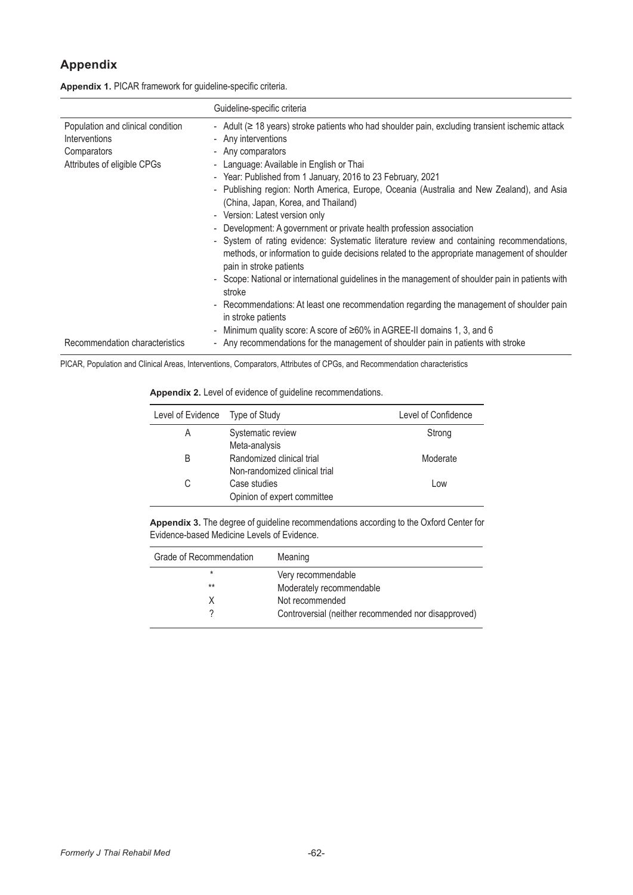# **Appendix**

| Appendix 1. PICAR framework for guideline-specific criteria. |  |  |  |  |  |
|--------------------------------------------------------------|--|--|--|--|--|
|--------------------------------------------------------------|--|--|--|--|--|

|                                                                                                  | Guideline-specific criteria                                                                                                                                                                                                                                                                                                                                                                                                                                                                                                                                                                                                                                                                                                                                                                                                                                                                                                                                                                                                                                               |
|--------------------------------------------------------------------------------------------------|---------------------------------------------------------------------------------------------------------------------------------------------------------------------------------------------------------------------------------------------------------------------------------------------------------------------------------------------------------------------------------------------------------------------------------------------------------------------------------------------------------------------------------------------------------------------------------------------------------------------------------------------------------------------------------------------------------------------------------------------------------------------------------------------------------------------------------------------------------------------------------------------------------------------------------------------------------------------------------------------------------------------------------------------------------------------------|
| Population and clinical condition<br>Interventions<br>Comparators<br>Attributes of eligible CPGs | - Adult ( $\geq$ 18 years) stroke patients who had shoulder pain, excluding transient ischemic attack<br>- Any interventions<br>- Any comparators<br>- Language: Available in English or Thai<br>- Year: Published from 1 January, 2016 to 23 February, 2021<br>- Publishing region: North America, Europe, Oceania (Australia and New Zealand), and Asia<br>(China, Japan, Korea, and Thailand)<br>- Version: Latest version only<br>- Development: A government or private health profession association<br>- System of rating evidence: Systematic literature review and containing recommendations,<br>methods, or information to guide decisions related to the appropriate management of shoulder<br>pain in stroke patients<br>- Scope: National or international guidelines in the management of shoulder pain in patients with<br>stroke<br>- Recommendations: At least one recommendation regarding the management of shoulder pain<br>in stroke patients<br>Minimum quality score: A score of ≥60% in AGREE-II domains 1, 3, and 6<br>$\overline{\phantom{a}}$ |
| Recommendation characteristics                                                                   | - Any recommendations for the management of shoulder pain in patients with stroke                                                                                                                                                                                                                                                                                                                                                                                                                                                                                                                                                                                                                                                                                                                                                                                                                                                                                                                                                                                         |

PICAR, Population and Clinical Areas, Interventions, Comparators, Attributes of CPGs, and Recommendation characteristics

| Appendix 2. Level of evidence of guideline recommendations. |  |  |
|-------------------------------------------------------------|--|--|
|-------------------------------------------------------------|--|--|

| Level of Evidence | Type of Study                                              | Level of Confidence |
|-------------------|------------------------------------------------------------|---------------------|
| A                 | Systematic review<br>Meta-analysis                         | Strong              |
| B                 | Randomized clinical trial<br>Non-randomized clinical trial | Moderate            |
| С                 | Case studies<br>Opinion of expert committee                | Low                 |

**Appendix 3.** The degree of guideline recommendations according to the Oxford Center for Evidence-based Medicine Levels of Evidence.

| Grade of Recommendation | Meaning                                             |
|-------------------------|-----------------------------------------------------|
| *                       | Very recommendable                                  |
| $**$                    | Moderately recommendable                            |
|                         | Not recommended                                     |
|                         | Controversial (neither recommended nor disapproved) |